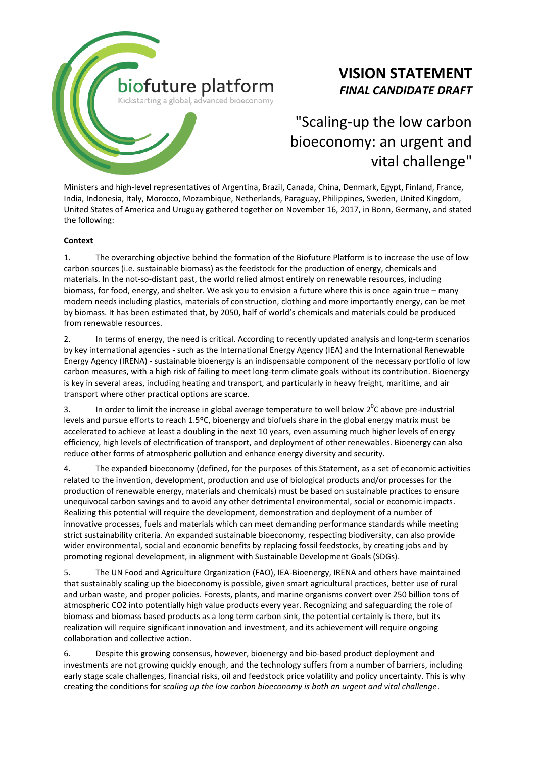

# **VISION STATEMENT** *FINAL CANDIDATE DRAFT*

# "Scaling-up the low carbon bioeconomy: an urgent and vital challenge"

Ministers and high-level representatives of Argentina, Brazil, Canada, China, Denmark, Egypt, Finland, France, India, Indonesia, Italy, Morocco, Mozambique, Netherlands, Paraguay, Philippines, Sweden, United Kingdom, United States of America and Uruguay gathered together on November 16, 2017, in Bonn, Germany, and stated the following:

## **Context**

1. The overarching objective behind the formation of the Biofuture Platform is to increase the use of low carbon sources (i.e. sustainable biomass) as the feedstock for the production of energy, chemicals and materials. In the not-so-distant past, the world relied almost entirely on renewable resources, including biomass, for food, energy, and shelter. We ask you to envision a future where this is once again true – many modern needs including plastics, materials of construction, clothing and more importantly energy, can be met by biomass. It has been estimated that, by 2050, half of world's chemicals and materials could be produced from renewable resources.

2. In terms of energy, the need is critical. According to recently updated analysis and long-term scenarios by key international agencies - such as the International Energy Agency (IEA) and the International Renewable Energy Agency (IRENA) - sustainable bioenergy is an indispensable component of the necessary portfolio of low carbon measures, with a high risk of failing to meet long-term climate goals without its contribution. Bioenergy is key in several areas, including heating and transport, and particularly in heavy freight, maritime, and air transport where other practical options are scarce.

3. In order to limit the increase in global average temperature to well below  $2^{0}$ C above pre-industrial levels and pursue efforts to reach 1.5ºC, bioenergy and biofuels share in the global energy matrix must be accelerated to achieve at least a doubling in the next 10 years, even assuming much higher levels of energy efficiency, high levels of electrification of transport, and deployment of other renewables. Bioenergy can also reduce other forms of atmospheric pollution and enhance energy diversity and security.

4. The expanded bioeconomy (defined, for the purposes of this Statement, as a set of economic activities related to the invention, development, production and use of biological products and/or processes for the production of renewable energy, materials and chemicals) must be based on sustainable practices to ensure unequivocal carbon savings and to avoid any other detrimental environmental, social or economic impacts. Realizing this potential will require the development, demonstration and deployment of a number of innovative processes, fuels and materials which can meet demanding performance standards while meeting strict sustainability criteria. An expanded sustainable bioeconomy, respecting biodiversity, can also provide wider environmental, social and economic benefits by replacing fossil feedstocks, by creating jobs and by promoting regional development, in alignment with Sustainable Development Goals (SDGs).

5. The UN Food and Agriculture Organization (FAO), IEA-Bioenergy, IRENA and others have maintained that sustainably scaling up the bioeconomy is possible, given smart agricultural practices, better use of rural and urban waste, and proper policies. Forests, plants, and marine organisms convert over 250 billion tons of atmospheric CO2 into potentially high value products every year. Recognizing and safeguarding the role of biomass and biomass based products as a long term carbon sink, the potential certainly is there, but its realization will require significant innovation and investment, and its achievement will require ongoing collaboration and collective action.

6. Despite this growing consensus, however, bioenergy and bio-based product deployment and investments are not growing quickly enough, and the technology suffers from a number of barriers, including early stage scale challenges, financial risks, oil and feedstock price volatility and policy uncertainty. This is why creating the conditions for *scaling up the low carbon bioeconomy is both an urgent and vital challenge*.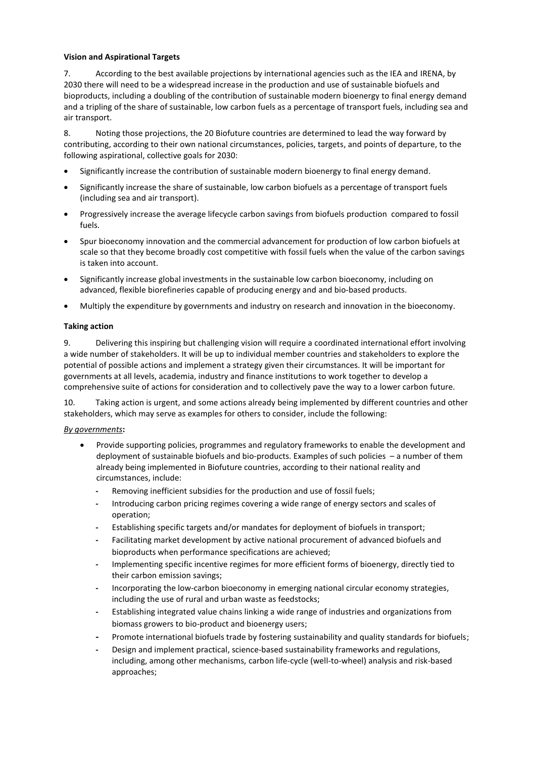## **Vision and Aspirational Targets**

7. According to the best available projections by international agencies such as the IEA and IRENA, by 2030 there will need to be a widespread increase in the production and use of sustainable biofuels and bioproducts, including a doubling of the contribution of sustainable modern bioenergy to final energy demand and a tripling of the share of sustainable, low carbon fuels as a percentage of transport fuels, including sea and air transport.

8. Noting those projections, the 20 Biofuture countries are determined to lead the way forward by contributing, according to their own national circumstances, policies, targets, and points of departure, to the following aspirational, collective goals for 2030:

- Significantly increase the contribution of sustainable modern bioenergy to final energy demand.
- Significantly increase the share of sustainable, low carbon biofuels as a percentage of transport fuels (including sea and air transport).
- Progressively increase the average lifecycle carbon savings from biofuels production compared to fossil fuels.
- Spur bioeconomy innovation and the commercial advancement for production of low carbon biofuels at scale so that they become broadly cost competitive with fossil fuels when the value of the carbon savings is taken into account.
- Significantly increase global investments in the sustainable low carbon bioeconomy, including on advanced, flexible biorefineries capable of producing energy and and bio-based products.
- Multiply the expenditure by governments and industry on research and innovation in the bioeconomy.

## **Taking action**

9. Delivering this inspiring but challenging vision will require a coordinated international effort involving a wide number of stakeholders. It will be up to individual member countries and stakeholders to explore the potential of possible actions and implement a strategy given their circumstances. It will be important for governments at all levels, academia, industry and finance institutions to work together to develop a comprehensive suite of actions for consideration and to collectively pave the way to a lower carbon future.

10. Taking action is urgent, and some actions already being implemented by different countries and other stakeholders, which may serve as examples for others to consider, include the following:

#### *By governments***:**

- Provide supporting policies, programmes and regulatory frameworks to enable the development and deployment of sustainable biofuels and bio-products. Examples of such policies – a number of them already being implemented in Biofuture countries, according to their national reality and circumstances, include:
	- **-** Removing inefficient subsidies for the production and use of fossil fuels;
	- **-** Introducing carbon pricing regimes covering a wide range of energy sectors and scales of operation;
	- **-** Establishing specific targets and/or mandates for deployment of biofuels in transport;
	- **-** Facilitating market development by active national procurement of advanced biofuels and bioproducts when performance specifications are achieved;
	- **-** Implementing specific incentive regimes for more efficient forms of bioenergy, directly tied to their carbon emission savings;
	- **-** Incorporating the low-carbon bioeconomy in emerging national circular economy strategies, including the use of rural and urban waste as feedstocks;
	- **-** Establishing integrated value chains linking a wide range of industries and organizations from biomass growers to bio-product and bioenergy users;
	- **-** Promote international biofuels trade by fostering sustainability and quality standards for biofuels;
	- **-** Design and implement practical, science-based sustainability frameworks and regulations, including, among other mechanisms, carbon life-cycle (well-to-wheel) analysis and risk-based approaches;